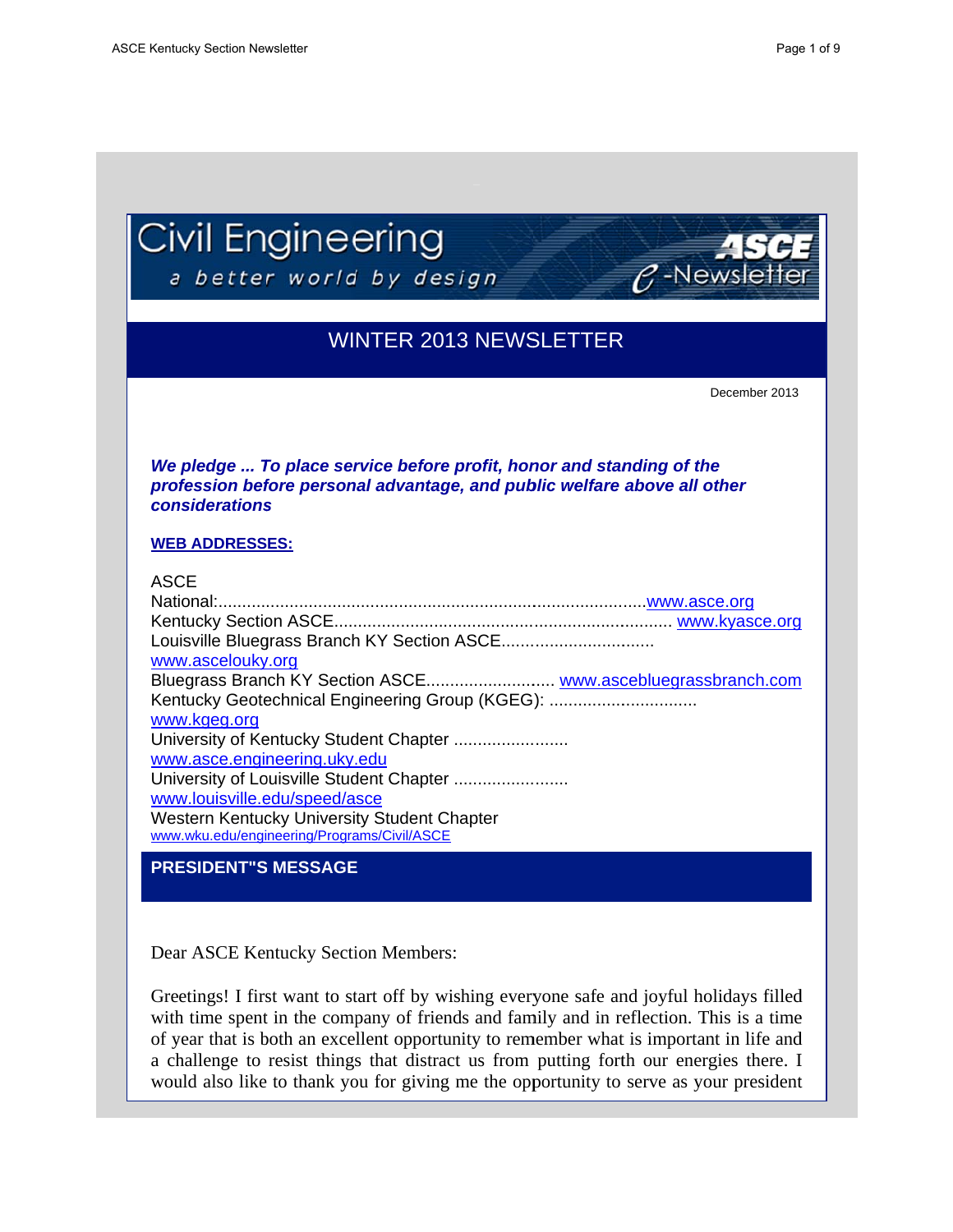**considerations** 

**WEB ADDRESSES:** 

 $\beta$ -Newslett

December 2013

|  |  | Civil Engineering |
|--|--|-------------------|
|--|--|-------------------|

a better world by design

# **WINTER 2013 NEWSLETTER**



### **ASCE** www.ascelouky.org Kentucky Geotechnical Engineering Group (KGEG): ................................ www.kgeg.org University of Kentucky Student Chapter ........................ www.asce.engineering.uky.edu University of Louisville Student Chapter ......................... www.louisville.edu/speed/asce Western Kentucky University Student Chapter www.wku.edu/engineering/Programs/Civil/ASCE

# **PRESIDENT"S MESSAGE**

Dear ASCE Kentucky Section Members:

Greetings! I first want to start off by wishing everyone safe and joyful holidays filled with time spent in the company of friends and family and in reflection. This is a time of year that is both an excellent opportunity to remember what is important in life and a challenge to resist things that distract us from putting forth our energies there. I would also like to thank you for giving me the opportunity to serve as your president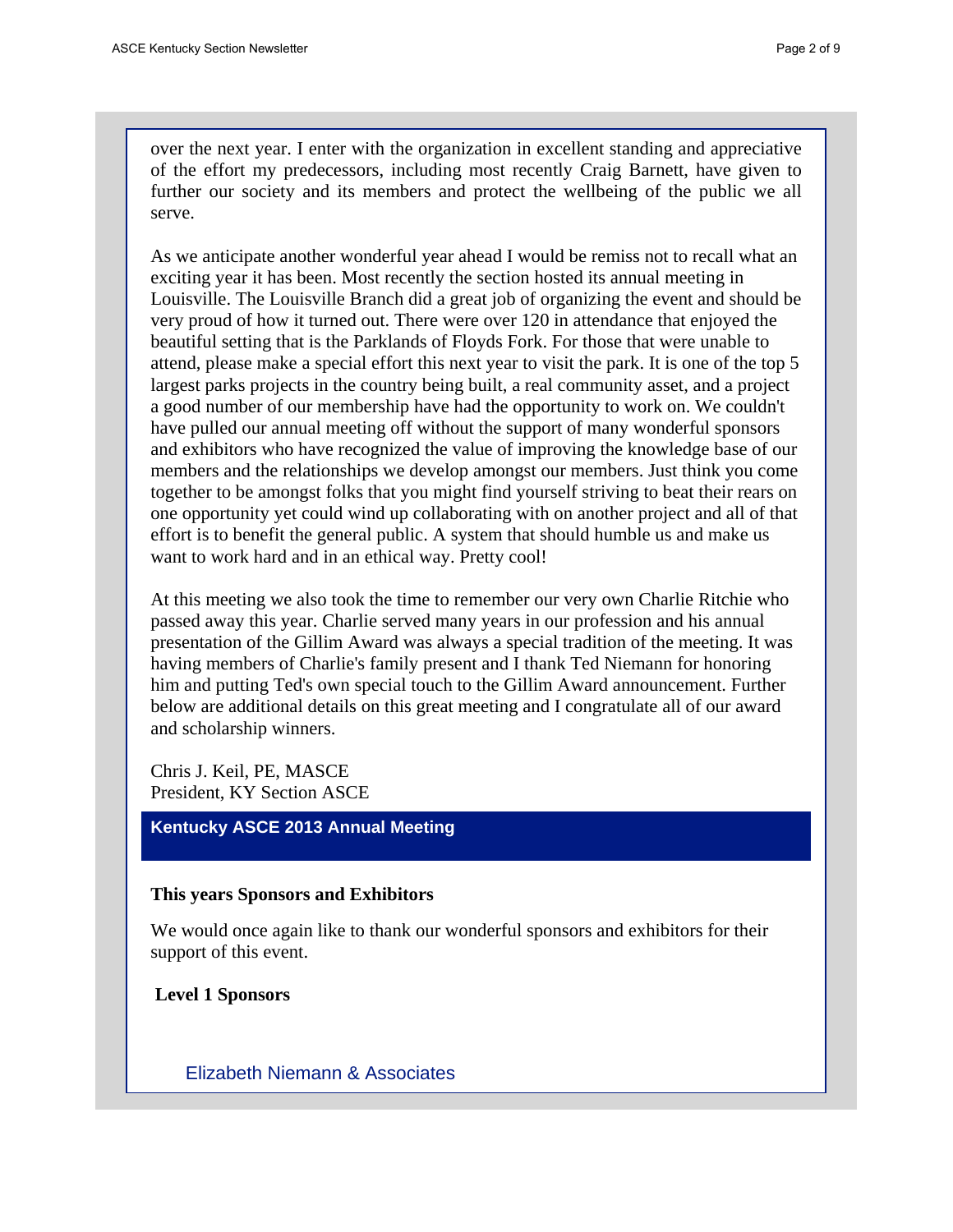over the next year. I enter with the organization in excellent standing and appreciative of the effort my predecessors, including most recently Craig Barnett, have given to further our society and its members and protect the wellbeing of the public we all serve.

As we anticipate another wonderful year ahead I would be remiss not to recall what an exciting year it has been. Most recently the section hosted its annual meeting in Louisville. The Louisville Branch did a great job of organizing the event and should be very proud of how it turned out. There were over 120 in attendance that enjoyed the beautiful setting that is the Parklands of Floyds Fork. For those that were unable to attend, please make a special effort this next year to visit the park. It is one of the top 5 largest parks projects in the country being built, a real community asset, and a project a good number of our membership have had the opportunity to work on. We couldn't have pulled our annual meeting off without the support of many wonderful sponsors and exhibitors who have recognized the value of improving the knowledge base of our members and the relationships we develop amongst our members. Just think you come together to be amongst folks that you might find yourself striving to beat their rears on one opportunity yet could wind up collaborating with on another project and all of that effort is to benefit the general public. A system that should humble us and make us want to work hard and in an ethical way. Pretty cool!

At this meeting we also took the time to remember our very own Charlie Ritchie who passed away this year. Charlie served many years in our profession and his annual presentation of the Gillim Award was always a special tradition of the meeting. It was having members of Charlie's family present and I thank Ted Niemann for honoring him and putting Ted's own special touch to the Gillim Award announcement. Further below are additional details on this great meeting and I congratulate all of our award and scholarship winners.

Chris J. Keil, PE, MASCE President, KY Section ASCE

### **Kentucky ASCE 2013 Annual Meeting**

### **This years Sponsors and Exhibitors**

We would once again like to thank our wonderful sponsors and exhibitors for their support of this event.

**Level 1 Sponsors**

Elizabeth Niemann & Associates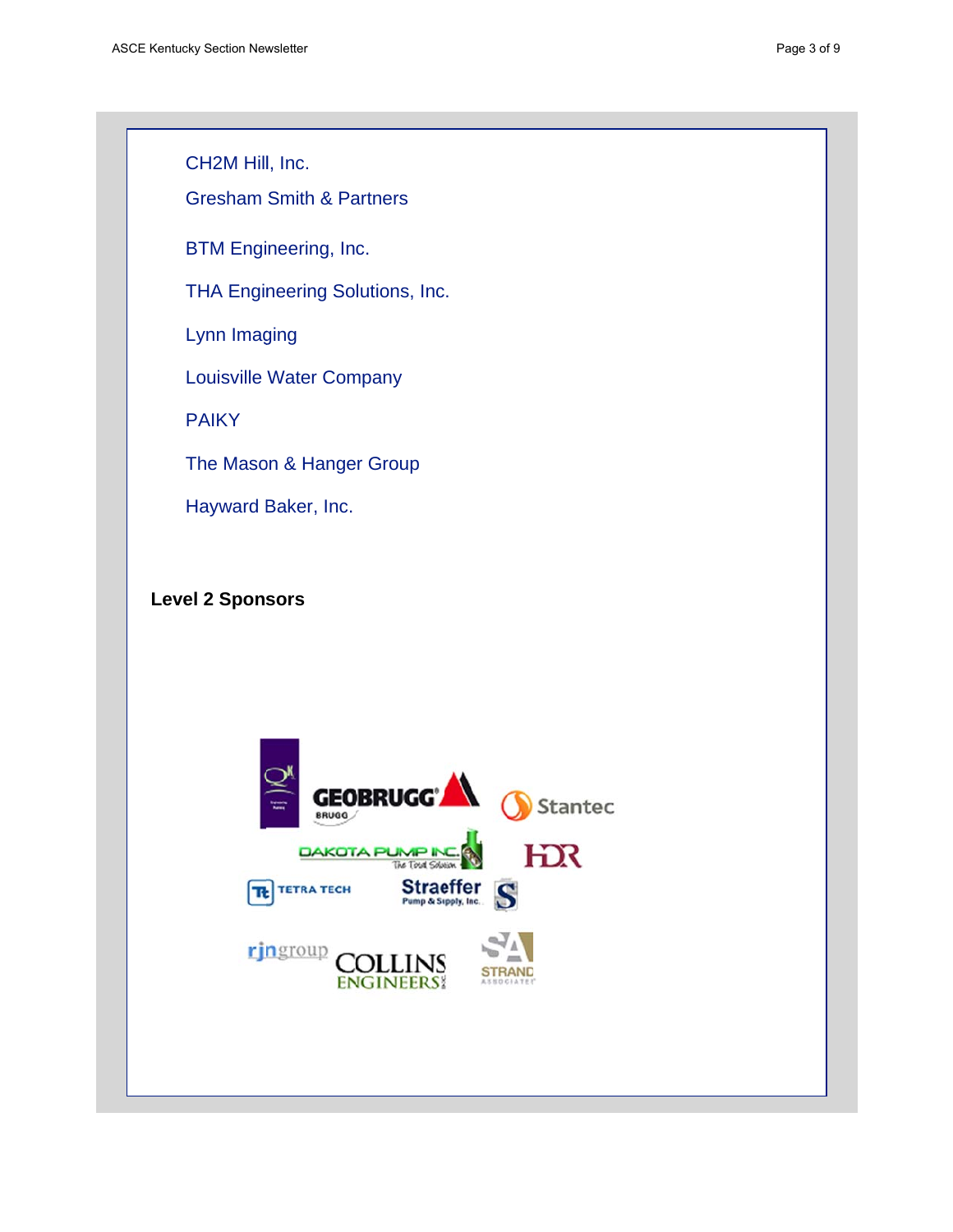CH2M Hill, Inc.

**Gresham Smith & Partners** 

**BTM Engineering, Inc.** 

THA Engineering Solutions, Inc.

Lynn Imaging

**Louisville Water Company** 

**PAIKY** 

The Mason & Hanger Group

Hayward Baker, Inc.

# **Level 2 Sponsors**

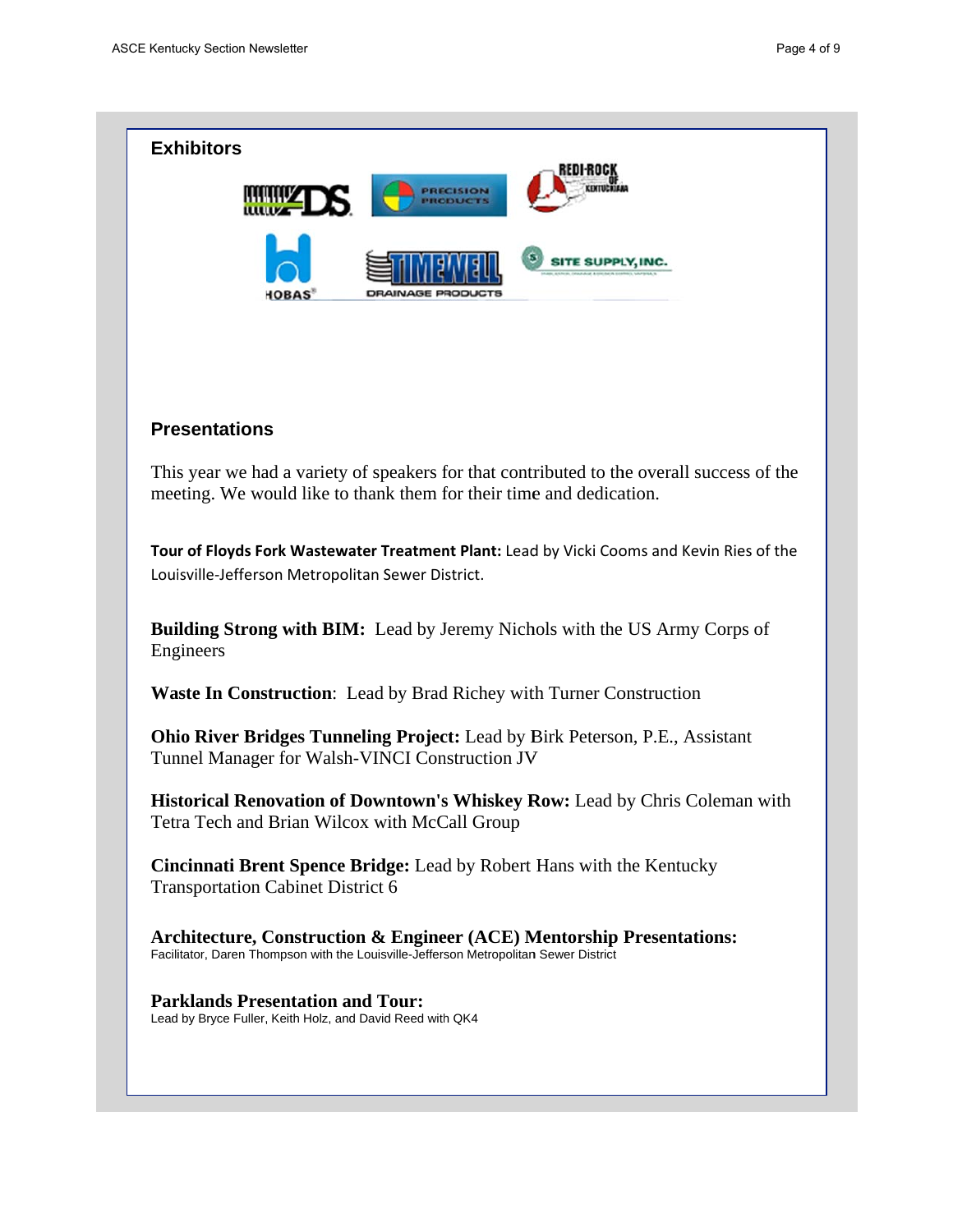

### **Presentations**

This year we had a variety of speakers for that contributed to the overall success of the meeting. We would like to thank them for their time and dedication.

Tour of Floyds Fork Wastewater Treatment Plant: Lead by Vicki Cooms and Kevin Ries of the Louisville-Jefferson Metropolitan Sewer District.

Building Strong with BIM: Lead by Jeremy Nichols with the US Army Corps of Engineers

Waste In Construction: Lead by Brad Richey with Turner Construction

**Ohio River Bridges Tunneling Project:** Lead by Birk Peterson, P.E., Assistant Tunnel Manager for Walsh-VINCI Construction JV

**Historical Renovation of Downtown's Whiskey Row: Lead by Chris Coleman with** Tetra Tech and Brian Wilcox with McCall Group

Cincinnati Brent Spence Bridge: Lead by Robert Hans with the Kentucky **Transportation Cabinet District 6** 

Architecture, Construction & Engineer (ACE) Mentorship Presentations: Facilitator, Daren Thompson with the Louisville-Jefferson Metropolitan Sewer District

**Parklands Presentation and Tour:** Lead by Bryce Fuller, Keith Holz, and David Reed with QK4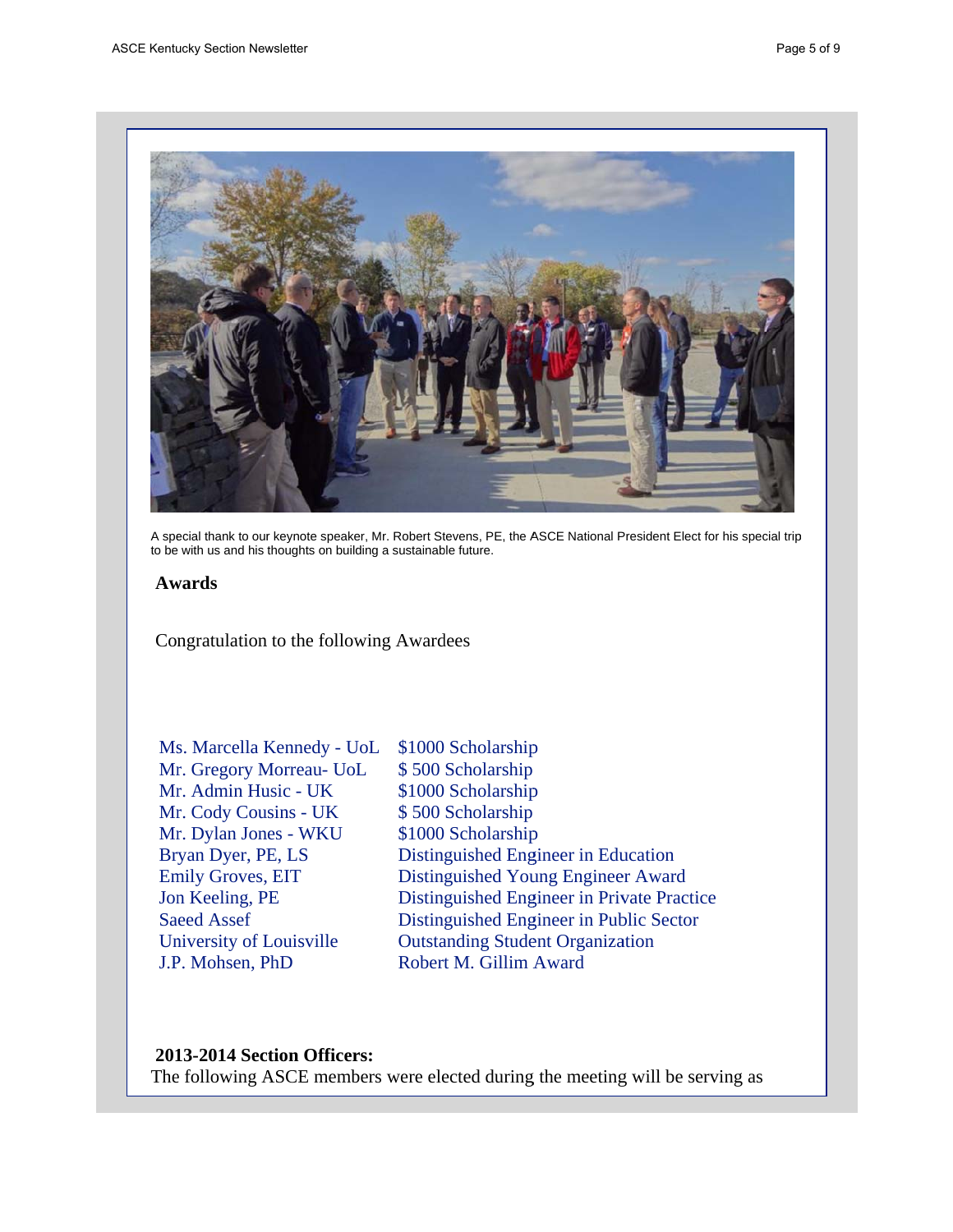

A special thank to our keynote speaker, Mr. Robert Stevens, PE, the ASCE National President Elect for his special trip to be with us and his thoughts on building a sustainable future.

### **Awards**

Congratulation to the following Awardees

Ms. Marcella Kennedy - UoL Mr. Gregory Morreau- UoL Mr. Admin Husic - UK Mr. Cody Cousins - UK Mr. Dylan Jones - WKU Bryan Dyer, PE, LS **Emily Groves, EIT** Jon Keeling, PE **Saeed Assef** University of Louisville J.P. Mohsen, PhD

\$1000 Scholarship \$500 Scholarship \$1000 Scholarship \$500 Scholarship \$1000 Scholarship Distinguished Engineer in Education Distinguished Young Engineer Award Distinguished Engineer in Private Practice Distinguished Engineer in Public Sector **Outstanding Student Organization** Robert M. Gillim Award

### 2013-2014 Section Officers:

The following ASCE members were elected during the meeting will be serving as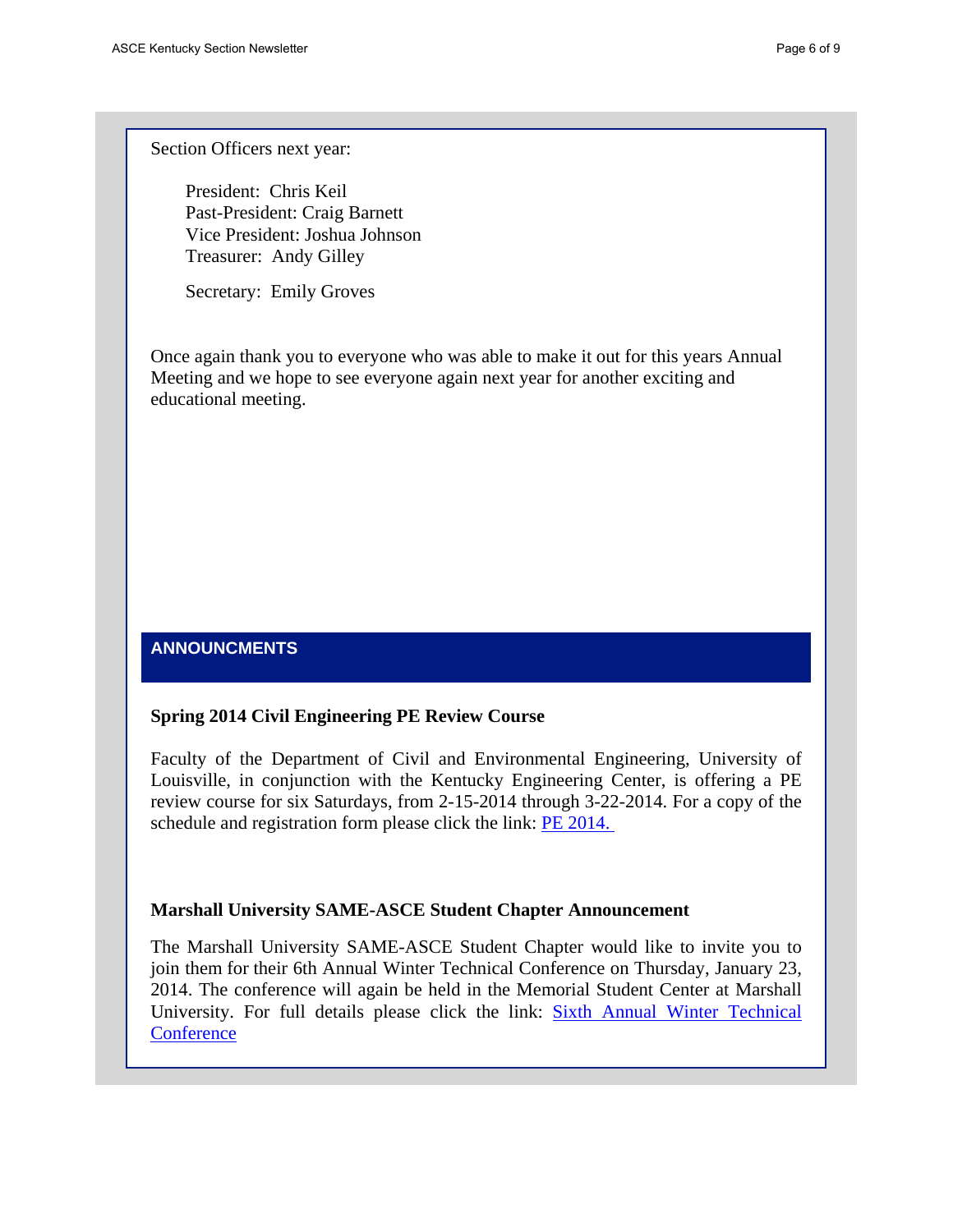Section Officers next year:

President: Chris Keil Past-President: Craig Barnett Vice President: Joshua Johnson Treasurer: Andy Gilley

Secretary: Emily Groves

Once again thank you to everyone who was able to make it out for this years Annual Meeting and we hope to see everyone again next year for another exciting and educational meeting.

# **ANNOUNCMENTS**

#### **Spring 2014 Civil Engineering PE Review Course**

Faculty of the Department of Civil and Environmental Engineering, University of Louisville, in conjunction with the Kentucky Engineering Center, is offering a PE review course for six Saturdays, from 2-15-2014 through 3-22-2014. For a copy of the schedule and registration form please click the link: PE 2014.

#### **Marshall University SAME-ASCE Student Chapter Announcement**

The Marshall University SAME-ASCE Student Chapter would like to invite you to join them for their 6th Annual Winter Technical Conference on Thursday, January 23, 2014. The conference will again be held in the Memorial Student Center at Marshall University. For full details please click the link: Sixth Annual Winter Technical **Conference**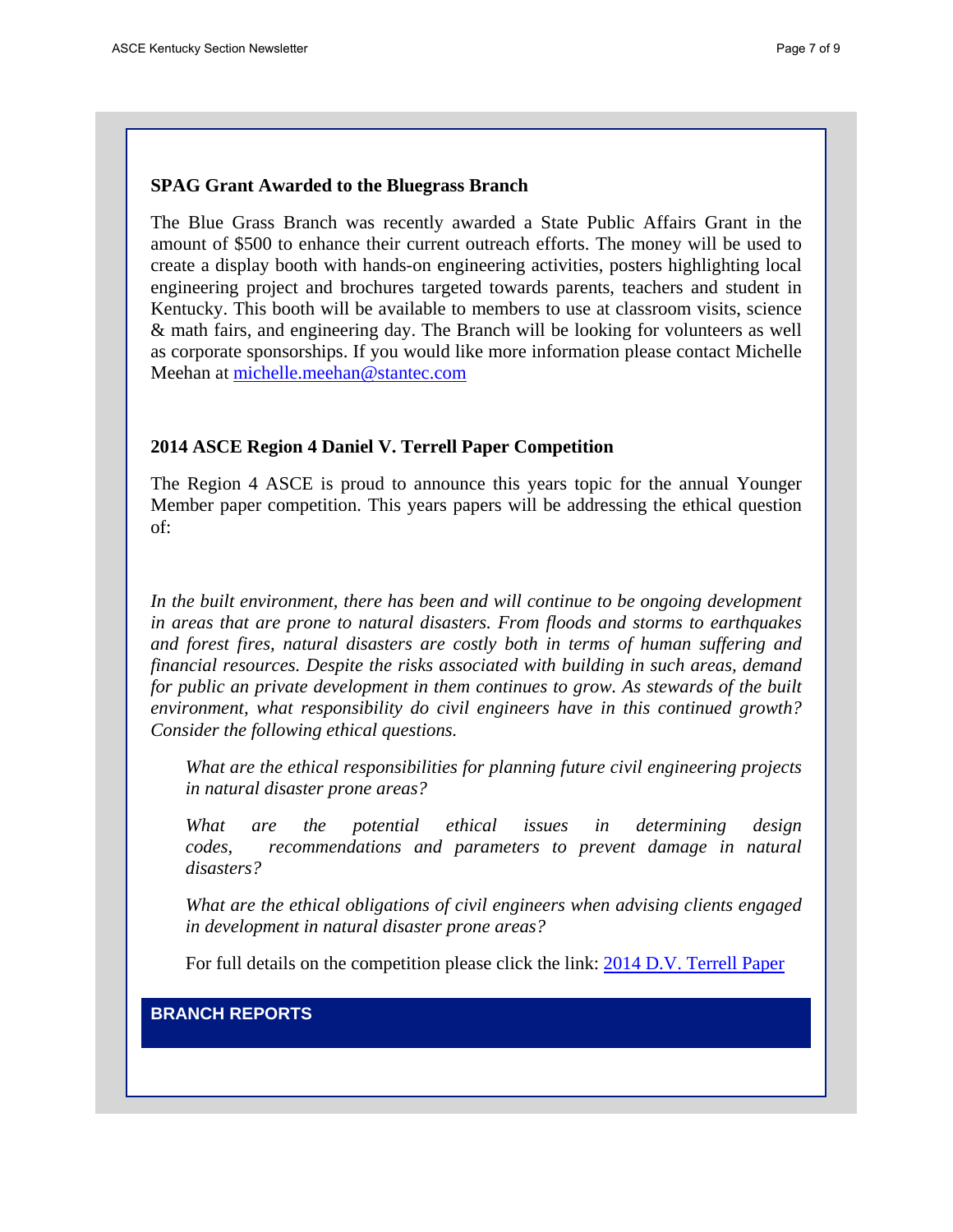### **SPAG Grant Awarded to the Bluegrass Branch**

The Blue Grass Branch was recently awarded a State Public Affairs Grant in the amount of \$500 to enhance their current outreach efforts. The money will be used to create a display booth with hands-on engineering activities, posters highlighting local engineering project and brochures targeted towards parents, teachers and student in Kentucky. This booth will be available to members to use at classroom visits, science & math fairs, and engineering day. The Branch will be looking for volunteers as well as corporate sponsorships. If you would like more information please contact Michelle Meehan at michelle.meehan@stantec.com

#### **2014 ASCE Region 4 Daniel V. Terrell Paper Competition**

The Region 4 ASCE is proud to announce this years topic for the annual Younger Member paper competition. This years papers will be addressing the ethical question of:

In the built environment, there has been and will continue to be ongoing development *in areas that are prone to natural disasters. From floods and storms to earthquakes and forest fires, natural disasters are costly both in terms of human suffering and financial resources. Despite the risks associated with building in such areas, demand for public an private development in them continues to grow. As stewards of the built environment, what responsibility do civil engineers have in this continued growth? Consider the following ethical questions.*

*What are the ethical responsibilities for planning future civil engineering projects in natural disaster prone areas?*

*What are the potential ethical issues in determining design codes, recommendations and parameters to prevent damage in natural disasters?*

*What are the ethical obligations of civil engineers when advising clients engaged in development in natural disaster prone areas?* 

For full details on the competition please click the link: 2014 D.V. Terrell Paper

### **BRANCH REPORTS**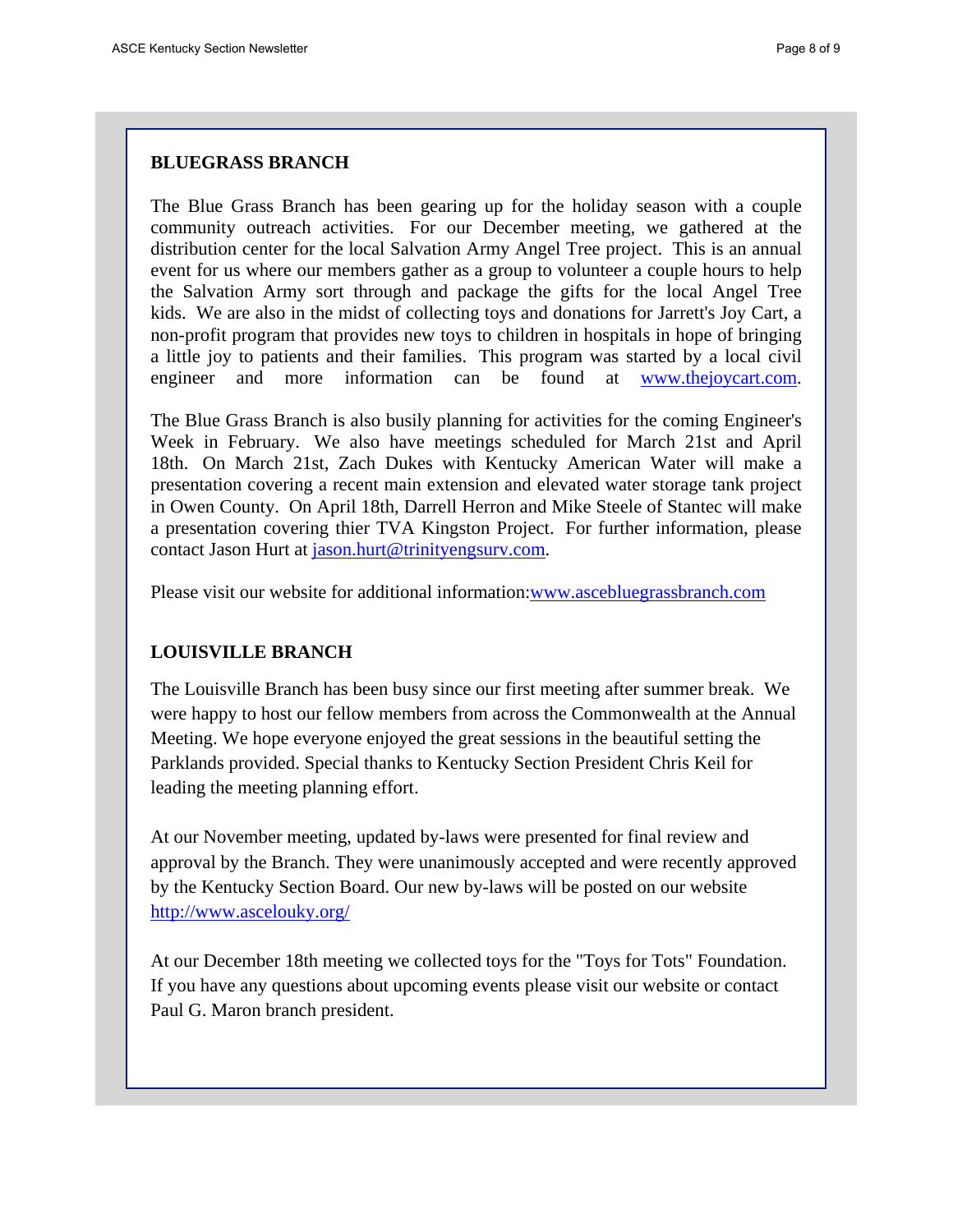# **BLUEGRASS BRANCH**

The Blue Grass Branch has been gearing up for the holiday season with a couple community outreach activities. For our December meeting, we gathered at the distribution center for the local Salvation Army Angel Tree project. This is an annual event for us where our members gather as a group to volunteer a couple hours to help the Salvation Army sort through and package the gifts for the local Angel Tree kids. We are also in the midst of collecting toys and donations for Jarrett's Joy Cart, a non-profit program that provides new toys to children in hospitals in hope of bringing a little joy to patients and their families. This program was started by a local civil engineer and more information can be found at www.thejoycart.com.

The Blue Grass Branch is also busily planning for activities for the coming Engineer's Week in February. We also have meetings scheduled for March 21st and April 18th. On March 21st, Zach Dukes with Kentucky American Water will make a presentation covering a recent main extension and elevated water storage tank project in Owen County. On April 18th, Darrell Herron and Mike Steele of Stantec will make a presentation covering thier TVA Kingston Project. For further information, please contact Jason Hurt at jason.hurt@trinityengsurv.com.

Please visit our website for additional information:www.ascebluegrassbranch.com

# **LOUISVILLE BRANCH**

The Louisville Branch has been busy since our first meeting after summer break. We were happy to host our fellow members from across the Commonwealth at the Annual Meeting. We hope everyone enjoyed the great sessions in the beautiful setting the Parklands provided. Special thanks to Kentucky Section President Chris Keil for leading the meeting planning effort.

At our November meeting, updated by-laws were presented for final review and approval by the Branch. They were unanimously accepted and were recently approved by the Kentucky Section Board. Our new by-laws will be posted on our website http://www.ascelouky.org/

At our December 18th meeting we collected toys for the "Toys for Tots" Foundation. If you have any questions about upcoming events please visit our website or contact Paul G. Maron branch president.